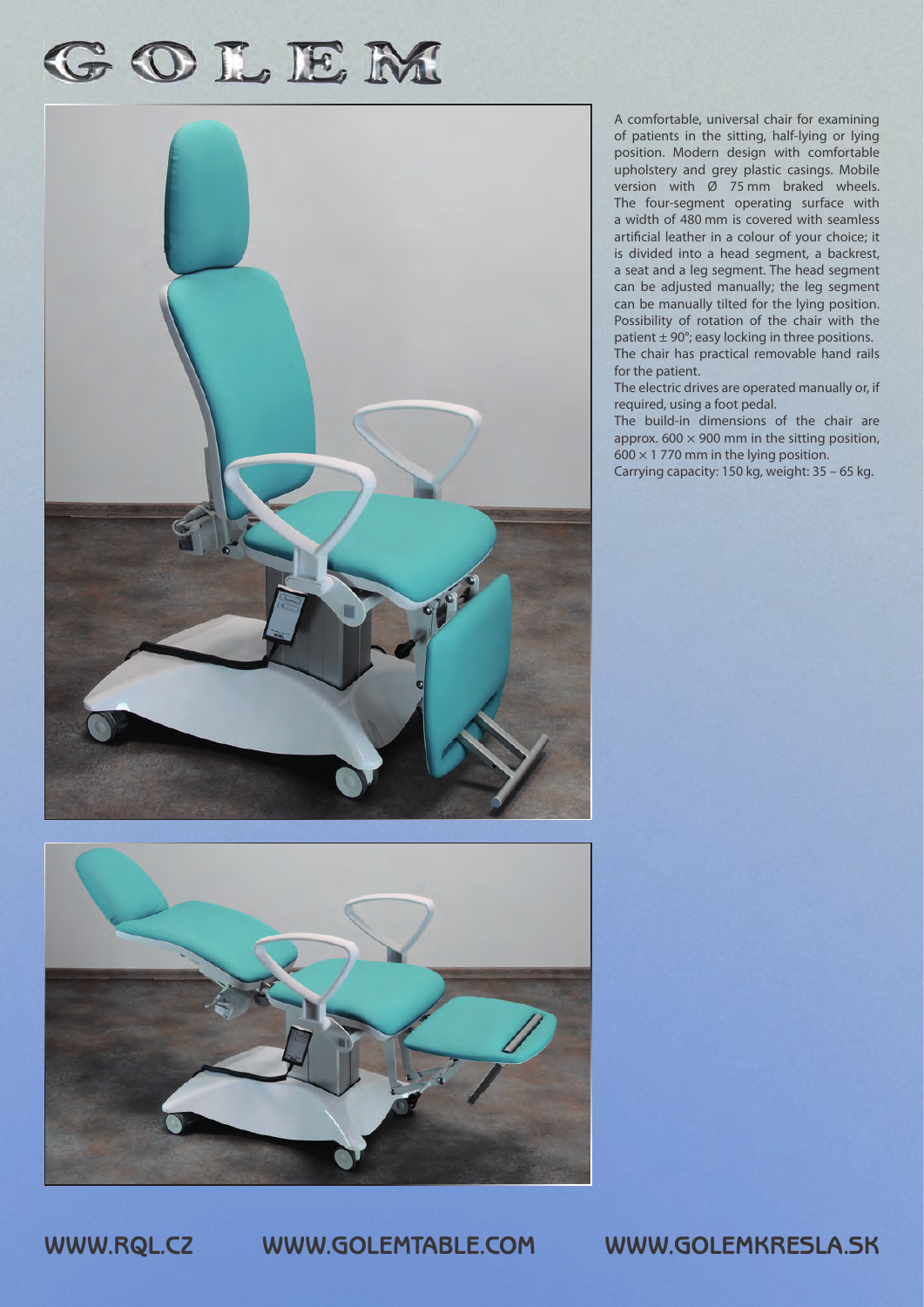## GOLEM





A comfortable, universal chair for examining of patients in the sitting, half-lying or lying position. Modern design with comfortable upholstery and grey plastic casings. Mobile version with Ø 75 mm braked wheels. The four-segment operating surface with a width of 480 mm is covered with seamless artificial leather in a colour of your choice; it is divided into a head segment, a backrest, a seat and a leg segment. The head segment can be adjusted manually; the leg segment can be manually tilted for the lying position. Possibility of rotation of the chair with the patient  $\pm$  90°; easy locking in three positions. The chair has practical removable hand rails for the patient.

The electric drives are operated manually or, if required, using a foot pedal.

The build-in dimensions of the chair are approx.  $600 \times 900$  mm in the sitting position,  $600 \times 1$  770 mm in the lying position.

Carrying capacity: 150 kg, weight: 35 – 65 kg.

**WWW.RQL.CZ WWW.GOLEMTABLE.COM WWW.GOLEMKRESLA.SK**